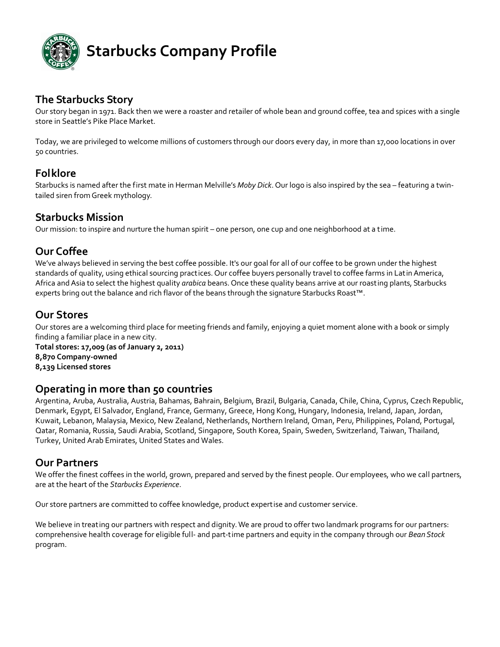

## **The Starbucks Story**

Our story began in 1971. Back then we were a roaster and retailer of whole bean and ground coffee, tea and spices with a single store in Seattle's Pike Place Market.

Today, we are privileged to welcome millions of customers through our doors every day, in more than 17,000 locations in over 50 countries.

## **Folklore**

Starbucks is named after the first mate in Herman Melville's *Moby Dick*. Our logo is also inspired by the sea – featuring a twin‐ tailed siren from Greek mythology.

## **Starbucks Mission**

Our [mission:](http://www.starbucks.com/mission) to inspire and nurture the human spirit – one person, one cup and one neighborhood at a time.

## **Our Coffee**

We've always believed in serving the best coffee possible. It's our goal for all of our coffee to be grown under the highest standards of quality, using ethical sourcing practices. Our coffee buyers personally travel to coffee farms in LatinAmerica, Africa andAsia to select the highest quality *arabica* beans. Once these quality beans arrive at our roasting plants, Starbucks experts bring out the balance and rich flavor of the beans through the signature Starbucks Roast™.

## **Our Stores**

Our stores are a welcoming third place for meeting friends and family, enjoying a quiet moment alone with a book or simply finding a familiar place in a new city.

**Total stores: 17,009 (as of January 2, 2011) 8,870 Company‐owned 8,139 Licensed stores**

## **Operating in more than 50 countries**

Argentina, Aruba, Australia, Austria, Bahamas, Bahrain, Belgium, Brazil, Bulgaria, Canada, Chile, China, Cyprus, Czech Republic, Denmark, Egypt, El Salvador, England, France, Germany, Greece, Hong Kong, Hungary, Indonesia, Ireland, Japan, Jordan, Kuwait, Lebanon, Malaysia, Mexico, New Zealand, Netherlands, Northern Ireland, Oman, Peru, Philippines, Poland, Portugal, Qatar, Romania, Russia, Saudi Arabia, Scotland, Singapore, South Korea, Spain, Sweden, Switzerland, Taiwan, Thailand, Turkey, United Arab Emirates, United States and Wales.

## **Our Partners**

We offer the finest coffees in the world, grown, prepared and served by the finest people. Our employees, who we call partners, are at the heart of the *Starbucks Experience*.

Our store partners are committed to coffee knowledge, product expertise and customer service.

We believe in treating our partners with respect and dignity. We are proud to offer two landmark programs for our partners: comprehensive health coverage for eligible full‐ and part‐time partners and equity in the company through our *Bean Stock* program.